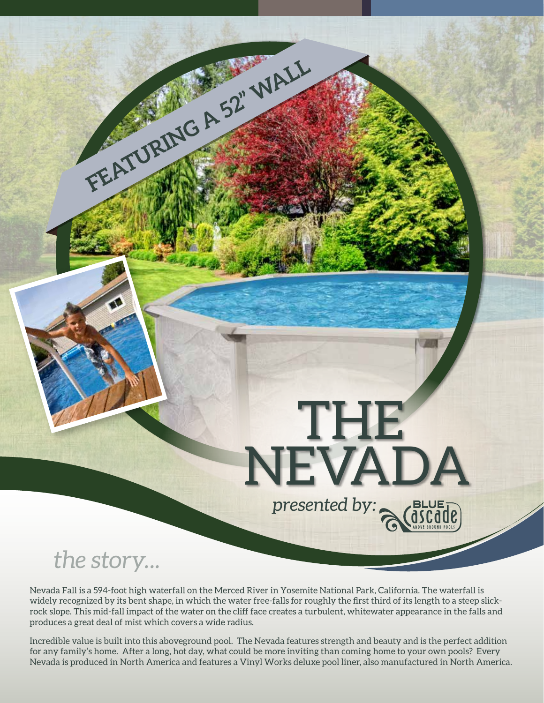## THE NEVADA *presented by:*

*the story...*

Nevada Fall is a 594-foot high waterfall on the Merced River in Yosemite National Park, California. The waterfall is widely recognized by its bent shape, in which the water free-falls for roughly the first third of its length to a steep slickrock slope. This mid-fall impact of the water on the cliff face creates a turbulent, whitewater appearance in the falls and produces a great deal of mist which covers a wide radius.

**FEATURING A 52" WALL**

Incredible value is built into this aboveground pool. The Nevada features strength and beauty and is the perfect addition for any family's home. After a long, hot day, what could be more inviting than coming home to your own pools? Every Nevada is produced in North America and features a Vinyl Works deluxe pool liner, also manufactured in North America.